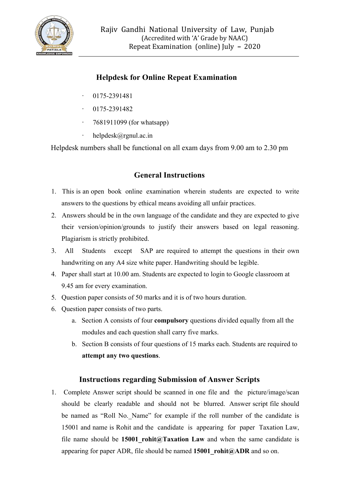

# **Helpdesk for Online Repeat Examination**

- · 0175-2391481
- · 0175-2391482
- · 7681911099 (for whatsapp)
- $\cdot$  helpdesk@rgnul.ac.in

Helpdesk numbers shall be functional on all exam days from 9.00 am to 2.30 pm

## **General Instructions**

- 1. This is an open book online examination wherein students are expected to write answers to the questions by ethical means avoiding all unfair practices.
- 2. Answers should be in the own language of the candidate and they are expected to give their version/opinion/grounds to justify their answers based on legal reasoning. Plagiarism is strictly prohibited.
- 3. All Students except SAP are required to attempt the questions in their own handwriting on any A4 size white paper. Handwriting should be legible.
- 4. Paper shall start at 10.00 am. Students are expected to login to Google classroom at 9.45 am for every examination.
- 5. Question paper consists of 50 marks and it is of two hours duration.
- 6. Question paper consists of two parts.
	- a. Section A consists of four **compulsory** questions divided equally from all the modules and each question shall carry five marks.
	- b. Section B consists of four questions of 15 marks each. Students are required to **attempt any two questions**.

## **Instructions regarding Submission of Answer Scripts**

1. Complete Answer script should be scanned in one file and the picture/image/scan should be clearly readable and should not be blurred. Answer script file should be named as "Roll No. Name" for example if the roll number of the candidate is 15001 and name is Rohit and the candidate is appearing for paper Taxation Law, file name should be **15001 rohit@Taxation Law** and when the same candidate is appearing for paper ADR, file should be named **15001\_rohit@ADR** and so on.